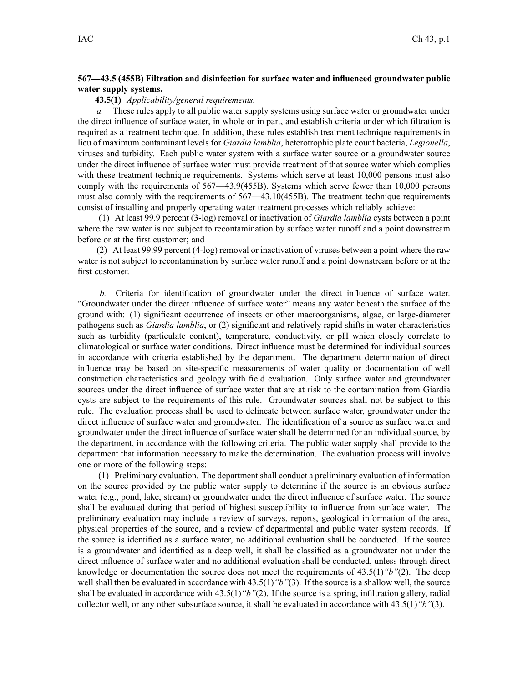## **567—43.5 (455B) Filtration and disinfection for surface water and influenced groundwater public water supply systems.**

# **43.5(1)** *Applicability/general requirements.*

*a.* These rules apply to all public water supply systems using surface water or groundwater under the direct influence of surface water, in whole or in part, and establish criteria under which filtration is required as <sup>a</sup> treatment technique. In addition, these rules establish treatment technique requirements in lieu of maximum contaminant levels for *Giardia lamblia*, heterotrophic plate count bacteria, *Legionella*, viruses and turbidity. Each public water system with <sup>a</sup> surface water source or <sup>a</sup> groundwater source under the direct influence of surface water must provide treatment of that source water which complies with these treatment technique requirements. Systems which serve at least 10,000 persons must also comply with the requirements of 567—43.9(455B). Systems which serve fewer than 10,000 persons must also comply with the requirements of 567—43.10(455B). The treatment technique requirements consist of installing and properly operating water treatment processes which reliably achieve:

(1) At least 99.9 percen<sup>t</sup> (3-log) removal or inactivation of *Giardia lamblia* cysts between <sup>a</sup> point where the raw water is not subject to recontamination by surface water runoff and a point downstream before or at the first customer; and

(2) At least 99.99 percen<sup>t</sup> (4-log) removal or inactivation of viruses between <sup>a</sup> point where the raw water is not subject to recontamination by surface water runoff and <sup>a</sup> point downstream before or at the first customer.

*b.* Criteria for identification of groundwater under the direct influence of surface water. "Groundwater under the direct influence of surface water" means any water beneath the surface of the ground with: (1) significant occurrence of insects or other macroorganisms, algae, or large-diameter pathogens such as *Giardia lamblia*, or (2) significant and relatively rapid shifts in water characteristics such as turbidity (particulate content), temperature, conductivity, or pH which closely correlate to climatological or surface water conditions. Direct influence must be determined for individual sources in accordance with criteria established by the department. The department determination of direct influence may be based on site-specific measurements of water quality or documentation of well construction characteristics and geology with field evaluation. Only surface water and groundwater sources under the direct influence of surface water that are at risk to the contamination from Giardia cysts are subject to the requirements of this rule. Groundwater sources shall not be subject to this rule. The evaluation process shall be used to delineate between surface water, groundwater under the direct influence of surface water and groundwater. The identification of <sup>a</sup> source as surface water and groundwater under the direct influence of surface water shall be determined for an individual source, by the department, in accordance with the following criteria. The public water supply shall provide to the department that information necessary to make the determination. The evaluation process will involve one or more of the following steps:

(1) Preliminary evaluation. The department shall conduct <sup>a</sup> preliminary evaluation of information on the source provided by the public water supply to determine if the source is an obvious surface water (e.g., pond, lake, stream) or groundwater under the direct influence of surface water. The source shall be evaluated during that period of highest susceptibility to influence from surface water. The preliminary evaluation may include <sup>a</sup> review of surveys, reports, geological information of the area, physical properties of the source, and <sup>a</sup> review of departmental and public water system records. If the source is identified as <sup>a</sup> surface water, no additional evaluation shall be conducted. If the source is <sup>a</sup> groundwater and identified as <sup>a</sup> deep well, it shall be classified as <sup>a</sup> groundwater not under the direct influence of surface water and no additional evaluation shall be conducted, unless through direct knowledge or documentation the source does not meet the requirements of 43.5(1)*"b"*(2). The deep well shall then be evaluated in accordance with 43.5(1) "b"(3). If the source is a shallow well, the source shall be evaluated in accordance with 43.5(1)*"b"*(2). If the source is <sup>a</sup> spring, infiltration gallery, radial collector well, or any other subsurface source, it shall be evaluated in accordance with 43.5(1)*"b"*(3).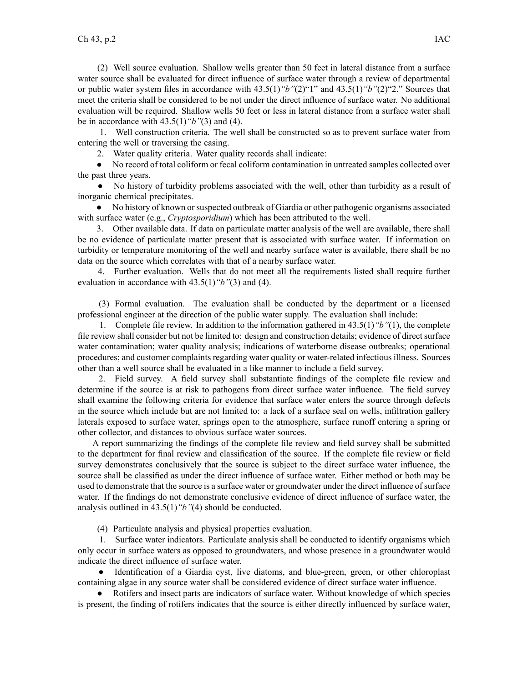(2) Well source evaluation. Shallow wells greater than 50 feet in lateral distance from <sup>a</sup> surface water source shall be evaluated for direct influence of surface water through <sup>a</sup> review of departmental or public water system files in accordance with 43.5(1)*"b"*(2)"1" and 43.5(1)*"b"*(2)"2." Sources that meet the criteria shall be considered to be not under the direct influence of surface water. No additional evaluation will be required. Shallow wells 50 feet or less in lateral distance from <sup>a</sup> surface water shall be in accordance with 43.5(1)*"b"*(3) and (4).

1. Well construction criteria. The well shall be constructed so as to preven<sup>t</sup> surface water from entering the well or traversing the casing.

2. Water quality criteria. Water quality records shall indicate:

● No record of total coliform or fecal coliform contamination in untreated samples collected over the pas<sup>t</sup> three years.

● No history of turbidity problems associated with the well, other than turbidity as <sup>a</sup> result of inorganic chemical precipitates.

• No history of known or suspected outbreak of Giardia or other pathogenic organisms associated with surface water (e.g., *Cryptosporidium*) which has been attributed to the well.

3. Other available data. If data on particulate matter analysis of the well are available, there shall be no evidence of particulate matter presen<sup>t</sup> that is associated with surface water. If information on turbidity or temperature monitoring of the well and nearby surface water is available, there shall be no data on the source which correlates with that of <sup>a</sup> nearby surface water.

4. Further evaluation. Wells that do not meet all the requirements listed shall require further evaluation in accordance with 43.5(1)*"b"*(3) and (4).

(3) Formal evaluation. The evaluation shall be conducted by the department or <sup>a</sup> licensed professional engineer at the direction of the public water supply. The evaluation shall include:

1. Complete file review. In addition to the information gathered in 43.5(1)*"b"*(1), the complete file review shall consider but not be limited to: design and construction details; evidence of direct surface water contamination; water quality analysis; indications of waterborne disease outbreaks; operational procedures; and customer complaints regarding water quality or water-related infectious illness. Sources other than <sup>a</sup> well source shall be evaluated in <sup>a</sup> like manner to include <sup>a</sup> field survey.

2. Field survey. A field survey shall substantiate findings of the complete file review and determine if the source is at risk to pathogens from direct surface water influence. The field survey shall examine the following criteria for evidence that surface water enters the source through defects in the source which include but are not limited to: <sup>a</sup> lack of <sup>a</sup> surface seal on wells, infiltration gallery laterals exposed to surface water, springs open to the atmosphere, surface runoff entering <sup>a</sup> spring or other collector, and distances to obvious surface water sources.

A repor<sup>t</sup> summarizing the findings of the complete file review and field survey shall be submitted to the department for final review and classification of the source. If the complete file review or field survey demonstrates conclusively that the source is subject to the direct surface water influence, the source shall be classified as under the direct influence of surface water. Either method or both may be used to demonstrate that the source is <sup>a</sup> surface water or groundwater under the direct influence ofsurface water. If the findings do not demonstrate conclusive evidence of direct influence of surface water, the analysis outlined in 43.5(1)*"b"*(4) should be conducted.

(4) Particulate analysis and physical properties evaluation.

1. Surface water indicators. Particulate analysis shall be conducted to identify organisms which only occur in surface waters as opposed to groundwaters, and whose presence in <sup>a</sup> groundwater would indicate the direct influence of surface water.

● Identification of <sup>a</sup> Giardia cyst, live diatoms, and blue-green, green, or other chloroplast containing algae in any source water shall be considered evidence of direct surface water influence.

● Rotifers and insect parts are indicators of surface water. Without knowledge of which species is present, the finding of rotifers indicates that the source is either directly influenced by surface water,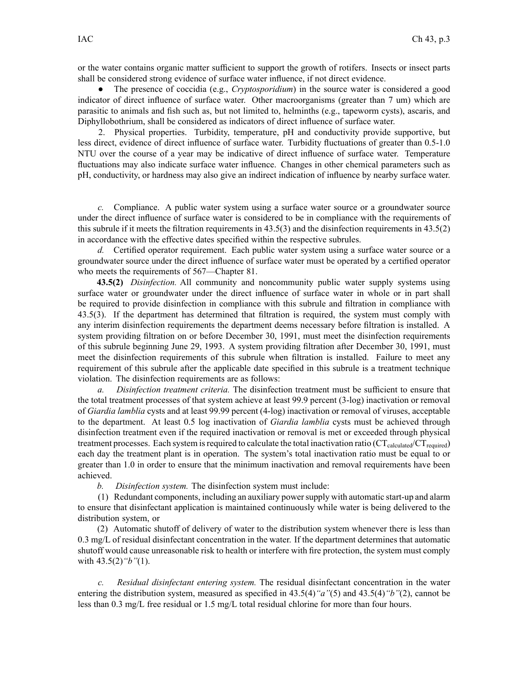or the water contains organic matter sufficient to suppor<sup>t</sup> the growth of rotifers. Insects or insect parts shall be considered strong evidence of surface water influence, if not direct evidence.

● The presence of coccidia (e.g., *Cryptosporidium*) in the source water is considered <sup>a</sup> good indicator of direct influence of surface water. Other macroorganisms (greater than 7 um) which are parasitic to animals and fish such as, but not limited to, helminths (e.g., tapeworm cysts), ascaris, and Diphyllobothrium, shall be considered as indicators of direct influence of surface water.

2. Physical properties. Turbidity, temperature, pH and conductivity provide supportive, but less direct, evidence of direct influence of surface water. Turbidity fluctuations of greater than 0.5-1.0 NTU over the course of <sup>a</sup> year may be indicative of direct influence of surface water. Temperature fluctuations may also indicate surface water influence. Changes in other chemical parameters such as pH, conductivity, or hardness may also give an indirect indication of influence by nearby surface water.

*c.* Compliance. A public water system using <sup>a</sup> surface water source or <sup>a</sup> groundwater source under the direct influence of surface water is considered to be in compliance with the requirements of this subrule if it meets the filtration requirements in 43.5(3) and the disinfection requirements in 43.5(2) in accordance with the effective dates specified within the respective subrules.

*d.* Certified operator requirement. Each public water system using <sup>a</sup> surface water source or <sup>a</sup> groundwater source under the direct influence of surface water must be operated by <sup>a</sup> certified operator who meets the requirements of 567—Chapter 81.

**43.5(2)** *Disinfection.* All community and noncommunity public water supply systems using surface water or groundwater under the direct influence of surface water in whole or in par<sup>t</sup> shall be required to provide disinfection in compliance with this subrule and filtration in compliance with 43.5(3). If the department has determined that filtration is required, the system must comply with any interim disinfection requirements the department deems necessary before filtration is installed. A system providing filtration on or before December 30, 1991, must meet the disinfection requirements of this subrule beginning June 29, 1993. A system providing filtration after December 30, 1991, must meet the disinfection requirements of this subrule when filtration is installed. Failure to meet any requirement of this subrule after the applicable date specified in this subrule is <sup>a</sup> treatment technique violation. The disinfection requirements are as follows:

*a. Disinfection treatment criteria.* The disinfection treatment must be sufficient to ensure that the total treatment processes of that system achieve at least 99.9 percen<sup>t</sup> (3-log) inactivation or removal of *Giardia lamblia* cysts and at least 99.99 percen<sup>t</sup> (4-log) inactivation or removal of viruses, acceptable to the department. At least 0.5 log inactivation of *Giardia lamblia* cysts must be achieved through disinfection treatment even if the required inactivation or removal is met or exceeded through physical treatment processes. Each system is required to calculate the total inactivation ratio ( $CT_{calculated}/CT_{required}$ ) each day the treatment plant is in operation. The system's total inactivation ratio must be equal to or greater than 1.0 in order to ensure that the minimum inactivation and removal requirements have been achieved.

*b. Disinfection system.* The disinfection system must include:

(1) Redundant components, including an auxiliary powersupply with automatic start-up and alarm to ensure that disinfectant application is maintained continuously while water is being delivered to the distribution system, or

(2) Automatic shutoff of delivery of water to the distribution system whenever there is less than 0.3 mg/L of residual disinfectant concentration in the water. If the department determines that automatic shutoff would cause unreasonable risk to health or interfere with fire protection, the system must comply with 43.5(2)*"b"*(1).

*c. Residual disinfectant entering system.* The residual disinfectant concentration in the water entering the distribution system, measured as specified in 43.5(4)*"a"*(5) and 43.5(4)*"b"*(2), cannot be less than 0.3 mg/L free residual or 1.5 mg/L total residual chlorine for more than four hours.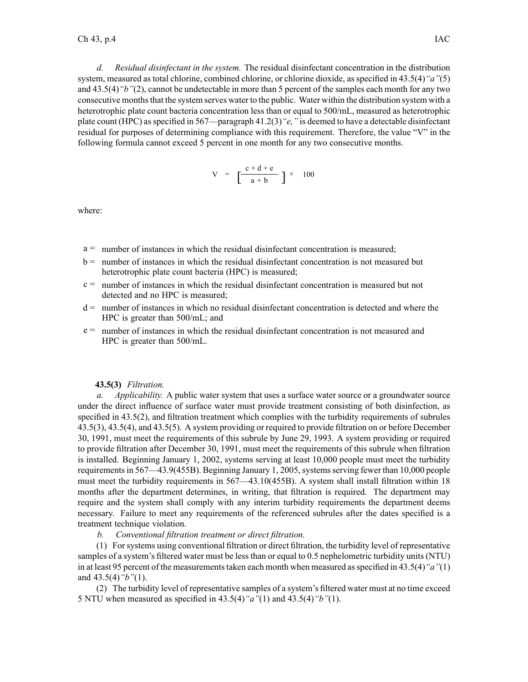*d. Residual disinfectant in the system.* The residual disinfectant concentration in the distribution system, measured as total chlorine, combined chlorine, or chlorine dioxide, as specified in 43.5(4)*"a"*(5) and 43.5(4)*"b"*(2), cannot be undetectable in more than 5 percen<sup>t</sup> of the samples each month for any two consecutive monthsthat the system serves water to the public. Water within the distribution system with <sup>a</sup> heterotrophic plate count bacteria concentration less than or equal to 500/mL, measured as heterotrophic plate count (HPC) asspecified in 567—paragraph 41.2(3)*"e,"* is deemed to have <sup>a</sup> detectable disinfectant residual for purposes of determining compliance with this requirement. Therefore, the value "V" in the following formula cannot exceed 5 percen<sup>t</sup> in one month for any two consecutive months.

$$
V = \left[\frac{c+d+e}{a+b}\right] \times 100
$$

where:

- <sup>a</sup> <sup>=</sup> number of instances in which the residual disinfectant concentration is measured;
- b <sup>=</sup> number of instances in which the residual disinfectant concentration is not measured but heterotrophic plate count bacteria (HPC) is measured;
- $c =$  number of instances in which the residual disinfectant concentration is measured but not detected and no HPC is measured;
- d <sup>=</sup> number of instances in which no residual disinfectant concentration is detected and where the HPC is greater than 500/mL; and
- <sup>e</sup> <sup>=</sup> number of instances in which the residual disinfectant concentration is not measured and HPC is greater than 500/mL.

#### **43.5(3)** *Filtration.*

*a. Applicability.* A public water system that uses <sup>a</sup> surface water source or <sup>a</sup> groundwater source under the direct influence of surface water must provide treatment consisting of both disinfection, as specified in 43.5(2), and filtration treatment which complies with the turbidity requirements of subrules 43.5(3), 43.5(4), and 43.5(5). A system providing or required to provide filtration on or before December 30, 1991, must meet the requirements of this subrule by June 29, 1993. A system providing or required to provide filtration after December 30, 1991, must meet the requirements of this subrule when filtration is installed. Beginning January 1, 2002, systems serving at least 10,000 people must meet the turbidity requirements in 567—43.9(455B). Beginning January 1, 2005, systems serving fewer than 10,000 people must meet the turbidity requirements in 567—43.10(455B). A system shall install filtration within 18 months after the department determines, in writing, that filtration is required. The department may require and the system shall comply with any interim turbidity requirements the department deems necessary. Failure to meet any requirements of the referenced subrules after the dates specified is <sup>a</sup> treatment technique violation.

*b. Conventional filtration treatment or direct filtration.*

(1) Forsystems using conventional filtration or direct filtration, the turbidity level of representative samples of <sup>a</sup> system's filtered water must be less than or equal to 0.5 nephelometric turbidity units (NTU) in at least 95 percent of the measurements taken each month when measured as specified in 43.5(4)<sup>*"a"*(1)</sup> and 43.5(4)*"b"*(1).

(2) The turbidity level of representative samples of <sup>a</sup> system's filtered water must at no time exceed 5 NTU when measured as specified in 43.5(4)*"a"*(1) and 43.5(4)*"b"*(1).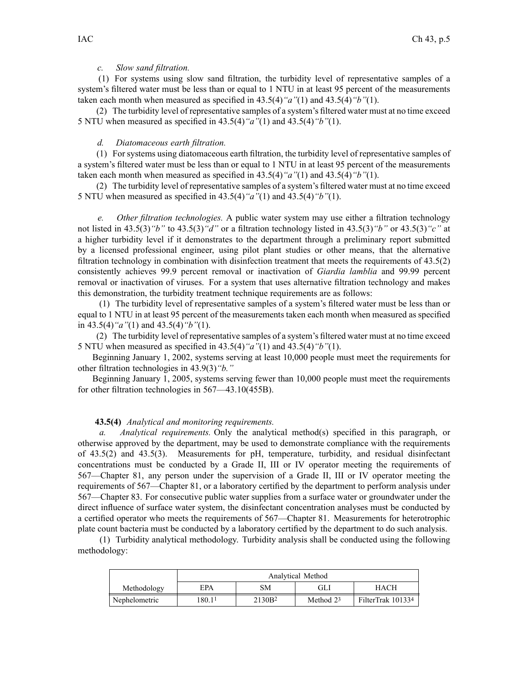## *c. Slow sand filtration.*

(1) For systems using slow sand filtration, the turbidity level of representative samples of <sup>a</sup> system's filtered water must be less than or equal to 1 NTU in at least 95 percen<sup>t</sup> of the measurements taken each month when measured as specified in 43.5(4)*"a"*(1) and 43.5(4)*"b"*(1).

(2) The turbidity level of representative samples of <sup>a</sup> system's filtered water must at no time exceed 5 NTU when measured as specified in 43.5(4)*"a"*(1) and 43.5(4)*"b"*(1).

#### *d. Diatomaceous earth filtration.*

(1) For systems using diatomaceous earth filtration, the turbidity level of representative samples of <sup>a</sup> system's filtered water must be less than or equal to 1 NTU in at least 95 percen<sup>t</sup> of the measurements taken each month when measured as specified in 43.5(4)*"a"*(1) and 43.5(4)*"b"*(1).

(2) The turbidity level of representative samples of <sup>a</sup> system's filtered water must at no time exceed 5 NTU when measured as specified in 43.5(4)*"a"*(1) and 43.5(4)*"b"*(1).

*e. Other filtration technologies.* A public water system may use either <sup>a</sup> filtration technology not listed in 43.5(3)*"b"* to 43.5(3)*"d"* or <sup>a</sup> filtration technology listed in 43.5(3)*"b"* or 43.5(3)*"c"* at <sup>a</sup> higher turbidity level if it demonstrates to the department through <sup>a</sup> preliminary repor<sup>t</sup> submitted by <sup>a</sup> licensed professional engineer, using pilot plant studies or other means, that the alternative filtration technology in combination with disinfection treatment that meets the requirements of 43.5(2) consistently achieves 99.9 percen<sup>t</sup> removal or inactivation of *Giardia lamblia* and 99.99 percen<sup>t</sup> removal or inactivation of viruses. For <sup>a</sup> system that uses alternative filtration technology and makes this demonstration, the turbidity treatment technique requirements are as follows:

(1) The turbidity level of representative samples of <sup>a</sup> system's filtered water must be less than or equal to 1 NTU in at least 95 percen<sup>t</sup> of the measurements taken each month when measured as specified in 43.5(4)*"a"*(1) and 43.5(4)*"b"*(1).

(2) The turbidity level of representative samples of <sup>a</sup> system's filtered water must at no time exceed 5 NTU when measured as specified in 43.5(4)*"a"*(1) and 43.5(4)*"b"*(1).

Beginning January 1, 2002, systems serving at least 10,000 people must meet the requirements for other filtration technologies in 43.9(3)*"b."*

Beginning January 1, 2005, systems serving fewer than 10,000 people must meet the requirements for other filtration technologies in 567—43.10(455B).

### **43.5(4)** *Analytical and monitoring requirements.*

*a. Analytical requirements.* Only the analytical method(s) specified in this paragraph, or otherwise approved by the department, may be used to demonstrate compliance with the requirements of 43.5(2) and 43.5(3). Measurements for pH, temperature, turbidity, and residual disinfectant concentrations must be conducted by <sup>a</sup> Grade II, III or IV operator meeting the requirements of 567—Chapter 81, any person under the supervision of <sup>a</sup> Grade II, III or IV operator meeting the requirements of 567—Chapter 81, or <sup>a</sup> laboratory certified by the department to perform analysis under 567—Chapter 83. For consecutive public water supplies from <sup>a</sup> surface water or groundwater under the direct influence of surface water system, the disinfectant concentration analyses must be conducted by <sup>a</sup> certified operator who meets the requirements of 567—Chapter 81. Measurements for heterotrophic plate count bacteria must be conducted by <sup>a</sup> laboratory certified by the department to do such analysis.

(1) Turbidity analytical methodology. Turbidity analysis shall be conducted using the following methodology:

|               | Analytical Method |                    |             |                   |
|---------------|-------------------|--------------------|-------------|-------------------|
| Methodology   | <b>EPA</b>        | SМ                 | GLı         | HACH              |
| Nephelometric | 180.11            | 2130B <sup>2</sup> | Method $23$ | FilterTrak 101334 |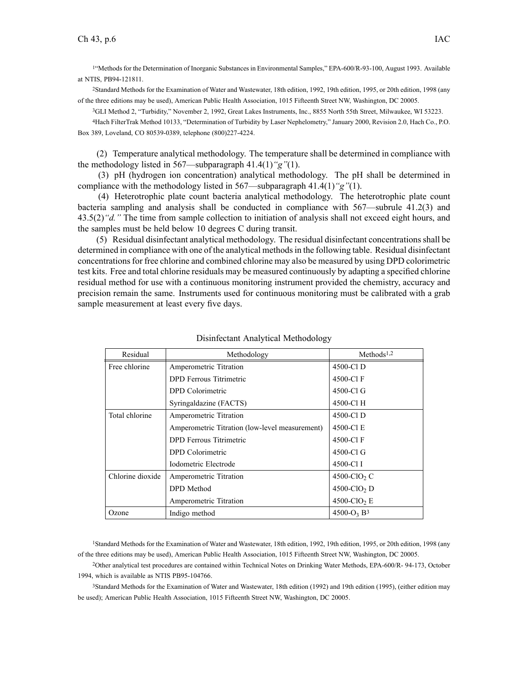1 "Methods for the Determination of Inorganic Substances in Environmental Samples," EPA-600/R-93-100, August 1993. Available at NTIS, PB94-121811.

<sup>2</sup>Standard Methods for the Examination of Water and Wastewater, 18th edition, 1992, 19th edition, 1995, or 20th edition, 1998 (any of the three editions may be used), American Public Health Association, 1015 Fifteenth Street NW, Washington, DC 20005.

<sup>3</sup>GLI Method 2, "Turbidity," November 2, 1992, Great Lakes Instruments, Inc., 8855 North 55th Street, Milwaukee, WI 53223.

<sup>4</sup>Hach FilterTrak Method 10133, "Determination of Turbidity by Laser Nephelometry," January 2000, Revision 2.0, Hach Co., P.O. Box 389, Loveland, CO 80539-0389, telephone (800)227-4224.

(2) Temperature analytical methodology. The temperature shall be determined in compliance with the methodology listed in 567—subparagraph 41.4(1)*"g"*(1).

(3) pH (hydrogen ion concentration) analytical methodology. The pH shall be determined in compliance with the methodology listed in 567—subparagraph 41.4(1)*"g"*(1).

(4) Heterotrophic plate count bacteria analytical methodology. The heterotrophic plate count bacteria sampling and analysis shall be conducted in compliance with 567—subrule 41.2(3) and 43.5(2)*"d."* The time from sample collection to initiation of analysis shall not exceed eight hours, and the samples must be held below 10 degrees C during transit.

(5) Residual disinfectant analytical methodology. The residual disinfectant concentrations shall be determined in compliance with one of the analytical methodsin the following table. Residual disinfectant concentrationsfor free chlorine and combined chlorine may also be measured by using DPD colorimetric test kits. Free and total chlorine residuals may be measured continuously by adapting <sup>a</sup> specified chlorine residual method for use with <sup>a</sup> continuous monitoring instrument provided the chemistry, accuracy and precision remain the same. Instruments used for continuous monitoring must be calibrated with <sup>a</sup> grab sample measurement at least every five days.

| Residual         | Methodology                                    | Methods <sup>1,2</sup>     |
|------------------|------------------------------------------------|----------------------------|
| Free chlorine    | Amperometric Titration                         | 4500-Cl D                  |
|                  | DPD Ferrous Titrimetric                        | 4500-Cl F                  |
|                  | DPD Colorimetric                               | 4500-Cl G                  |
|                  | Syringaldazine (FACTS)                         | 4500-Cl H                  |
| Total chlorine   | Amperometric Titration                         | 4500-Cl D                  |
|                  | Amperometric Titration (low-level measurement) | 4500-Cl E                  |
|                  | <b>DPD</b> Ferrous Titrimetric                 | 4500-Cl F                  |
|                  | DPD Colorimetric                               | 4500-Cl G                  |
|                  | Iodometric Electrode                           | 4500-Cl I                  |
| Chlorine dioxide | Amperometric Titration                         | 4500-ClO <sub>2</sub> C    |
|                  | DPD Method                                     | $4500$ -ClO <sub>2</sub> D |
|                  | Amperometric Titration                         | $4500$ -ClO <sub>2</sub> E |
| Ozone            | Indigo method                                  | $4500 - O_3 B^3$           |

#### Disinfectant Analytical Methodology

<sup>1</sup>Standard Methods for the Examination of Water and Wastewater, 18th edition, 1992, 19th edition, 1995, or 20th edition, 1998 (any of the three editions may be used), American Public Health Association, 1015 Fifteenth Street NW, Washington, DC 20005.

<sup>2</sup>Other analytical test procedures are contained within Technical Notes on Drinking Water Methods, EPA-600/R- 94-173, October 1994, which is available as NTIS PB95-104766.

<sup>3</sup>Standard Methods for the Examination of Water and Wastewater, 18th edition (1992) and 19th edition (1995), (either edition may be used); American Public Health Association, 1015 Fifteenth Street NW, Washington, DC 20005.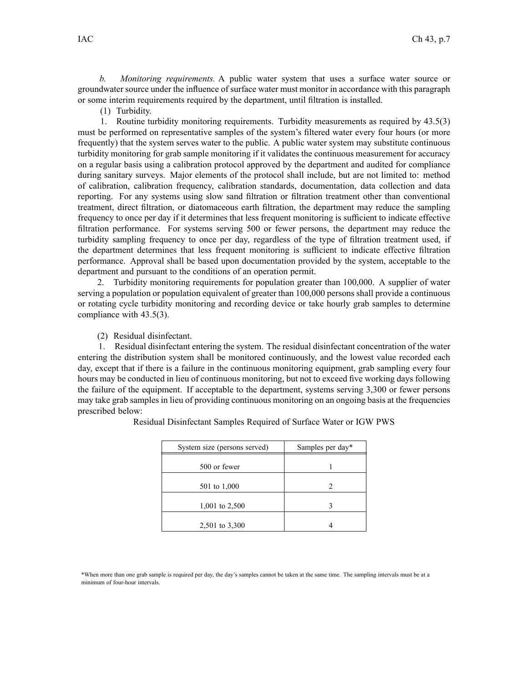*b. Monitoring requirements.* A public water system that uses <sup>a</sup> surface water source or groundwater source under the influence of surface water must monitor in accordance with this paragraph or some interim requirements required by the department, until filtration is installed.

(1) Turbidity.

1. Routine turbidity monitoring requirements. Turbidity measurements as required by 43.5(3) must be performed on representative samples of the system's filtered water every four hours (or more frequently) that the system serves water to the public. A public water system may substitute continuous turbidity monitoring for grab sample monitoring if it validates the continuous measurement for accuracy on <sup>a</sup> regular basis using <sup>a</sup> calibration protocol approved by the department and audited for compliance during sanitary surveys. Major elements of the protocol shall include, but are not limited to: method of calibration, calibration frequency, calibration standards, documentation, data collection and data reporting. For any systems using slow sand filtration or filtration treatment other than conventional treatment, direct filtration, or diatomaceous earth filtration, the department may reduce the sampling frequency to once per day if it determines that less frequent monitoring is sufficient to indicate effective filtration performance. For systems serving 500 or fewer persons, the department may reduce the turbidity sampling frequency to once per day, regardless of the type of filtration treatment used, if the department determines that less frequent monitoring is sufficient to indicate effective filtration performance. Approval shall be based upon documentation provided by the system, acceptable to the department and pursuan<sup>t</sup> to the conditions of an operation permit.

2. Turbidity monitoring requirements for population greater than 100,000. A supplier of water serving <sup>a</sup> population or population equivalent of greater than 100,000 persons shall provide <sup>a</sup> continuous or rotating cycle turbidity monitoring and recording device or take hourly grab samples to determine compliance with 43.5(3).

(2) Residual disinfectant.

1. Residual disinfectant entering the system. The residual disinfectant concentration of the water entering the distribution system shall be monitored continuously, and the lowest value recorded each day, excep<sup>t</sup> that if there is <sup>a</sup> failure in the continuous monitoring equipment, grab sampling every four hours may be conducted in lieu of continuous monitoring, but not to exceed five working days following the failure of the equipment. If acceptable to the department, systems serving 3,300 or fewer persons may take grab samples in lieu of providing continuous monitoring on an ongoing basis at the frequencies prescribed below:

| System size (persons served) | Samples per day* |  |
|------------------------------|------------------|--|
| 500 or fewer                 |                  |  |
| 501 to 1,000                 | 2                |  |
| 1,001 to 2,500               |                  |  |
| 2,501 to 3,300               |                  |  |

Residual Disinfectant Samples Required of Surface Water or IGW PWS

\*When more than one grab sample is required per day, the day's samples cannot be taken at the same time. The sampling intervals must be at <sup>a</sup> minimum of four-hour intervals.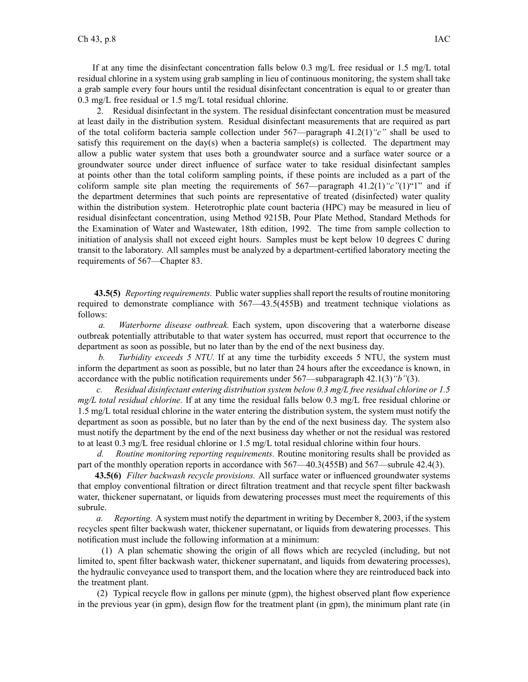If at any time the disinfectant concentration falls below  $0.3 \text{ mg/L}$  free residual or 1.5 mg/L total residual chlorine in <sup>a</sup> system using grab sampling in lieu of continuous monitoring, the system shall take <sup>a</sup> grab sample every four hours until the residual disinfectant concentration is equal to or greater than 0.3 mg/L free residual or 1.5 mg/L total residual chlorine.

2. Residual disinfectant in the system. The residual disinfectant concentration must be measured at least daily in the distribution system. Residual disinfectant measurements that are required as par<sup>t</sup> of the total coliform bacteria sample collection under 567—paragraph 41.2(1)*"c"* shall be used to satisfy this requirement on the day(s) when a bacteria sample(s) is collected. The department may allow <sup>a</sup> public water system that uses both <sup>a</sup> groundwater source and <sup>a</sup> surface water source or <sup>a</sup> groundwater source under direct influence of surface water to take residual disinfectant samples at points other than the total coliform sampling points, if these points are included as <sup>a</sup> par<sup>t</sup> of the coliform sample site plan meeting the requirements of  $567$ —paragraph  $41.2(1)$ <sup>"</sup>c"(1)<sup>"</sup>1" and if the department determines that such points are representative of treated (disinfected) water quality within the distribution system. Heterotrophic plate count bacteria (HPC) may be measured in lieu of residual disinfectant concentration, using Method 9215B, Pour Plate Method, Standard Methods for the Examination of Water and Wastewater, 18th edition, 1992. The time from sample collection to initiation of analysis shall not exceed eight hours. Samples must be kept below 10 degrees C during transit to the laboratory. All samples must be analyzed by <sup>a</sup> department-certified laboratory meeting the requirements of 567—Chapter 83.

**43.5(5)** *Reporting requirements.* Public water supplies shall repor<sup>t</sup> the results of routine monitoring required to demonstrate compliance with 567—43.5(455B) and treatment technique violations as follows:

*a. Waterborne disease outbreak.* Each system, upon discovering that <sup>a</sup> waterborne disease outbreak potentially attributable to that water system has occurred, must repor<sup>t</sup> that occurrence to the department as soon as possible, but no later than by the end of the next business day.

*b. Turbidity exceeds 5 NTU.* If at any time the turbidity exceeds 5 NTU, the system must inform the department as soon as possible, but no later than 24 hours after the exceedance is known, in accordance with the public notification requirements under 567—subparagraph 42.1(3)*"b"*(3).

*c. Residual disinfectant entering distribution system below 0.3 mg/L free residual chlorine or 1.5 mg/L total residual chlorine.* If at any time the residual falls below 0.3 mg/L free residual chlorine or 1.5 mg/L total residual chlorine in the water entering the distribution system, the system must notify the department as soon as possible, but no later than by the end of the next business day. The system also must notify the department by the end of the next business day whether or not the residual was restored to at least 0.3 mg/L free residual chlorine or 1.5 mg/L total residual chlorine within four hours.

*d. Routine monitoring reporting requirements.* Routine monitoring results shall be provided as par<sup>t</sup> of the monthly operation reports in accordance with 567—40.3(455B) and 567—subrule 42.4(3).

**43.5(6)** *Filter backwash recycle provisions.* All surface water or influenced groundwater systems that employ conventional filtration or direct filtration treatment and that recycle spen<sup>t</sup> filter backwash water, thickener supernatant, or liquids from dewatering processes must meet the requirements of this subrule.

*a. Reporting.* A system must notify the department in writing by December 8, 2003, if the system recycles spen<sup>t</sup> filter backwash water, thickener supernatant, or liquids from dewatering processes. This notification must include the following information at <sup>a</sup> minimum:

(1) A plan schematic showing the origin of all flows which are recycled (including, but not limited to, spen<sup>t</sup> filter backwash water, thickener supernatant, and liquids from dewatering processes), the hydraulic conveyance used to transport them, and the location where they are reintroduced back into the treatment plant.

(2) Typical recycle flow in gallons per minute (gpm), the highest observed plant flow experience in the previous year (in gpm), design flow for the treatment plant (in gpm), the minimum plant rate (in